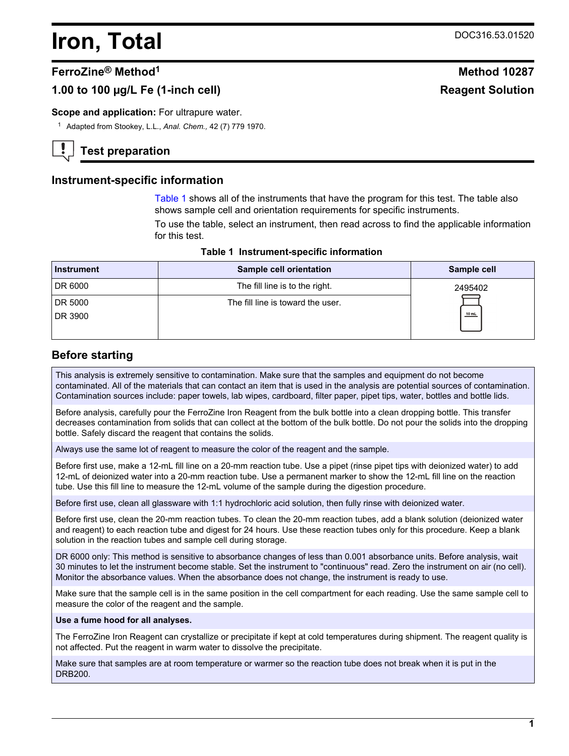# <span id="page-0-0"></span>**Iron, Total** DOC316.53.01520

## **FerroZine® Method<sup>1</sup> Method 10287**

# 1.00 to 100 µg/L Fe (1-inch cell) **Reagent Solution** Reagent Solution

#### **Scope and application:** For ultrapure water.

<sup>1</sup> Adapted from Stookey, L.L., *Anal. Chem.,* 42 (7) 779 1970.

# **Test preparation**

## **Instrument-specific information**

Table 1 shows all of the instruments that have the program for this test. The table also shows sample cell and orientation requirements for specific instruments.

To use the table, select an instrument, then read across to find the applicable information for this test.

| Instrument | <b>Sample cell orientation</b>    | Sample cell |
|------------|-----------------------------------|-------------|
| DR 6000    | The fill line is to the right.    | 2495402     |
| DR 5000    | The fill line is toward the user. |             |
| DR 3900    |                                   | $10$ mL     |
|            |                                   |             |

#### **Table 1 Instrument-specific information**

## **Before starting**

This analysis is extremely sensitive to contamination. Make sure that the samples and equipment do not become contaminated. All of the materials that can contact an item that is used in the analysis are potential sources of contamination. Contamination sources include: paper towels, lab wipes, cardboard, filter paper, pipet tips, water, bottles and bottle lids.

Before analysis, carefully pour the FerroZine Iron Reagent from the bulk bottle into a clean dropping bottle. This transfer decreases contamination from solids that can collect at the bottom of the bulk bottle. Do not pour the solids into the dropping bottle. Safely discard the reagent that contains the solids.

Always use the same lot of reagent to measure the color of the reagent and the sample.

Before first use, make a 12-mL fill line on a 20-mm reaction tube. Use a pipet (rinse pipet tips with deionized water) to add 12-mL of deionized water into a 20-mm reaction tube. Use a permanent marker to show the 12-mL fill line on the reaction tube. Use this fill line to measure the 12-mL volume of the sample during the digestion procedure.

Before first use, clean all glassware with 1:1 hydrochloric acid solution, then fully rinse with deionized water.

Before first use, clean the 20-mm reaction tubes. To clean the 20-mm reaction tubes, add a blank solution (deionized water and reagent) to each reaction tube and digest for 24 hours. Use these reaction tubes only for this procedure. Keep a blank solution in the reaction tubes and sample cell during storage.

DR 6000 only: This method is sensitive to absorbance changes of less than 0.001 absorbance units. Before analysis, wait 30 minutes to let the instrument become stable. Set the instrument to "continuous" read. Zero the instrument on air (no cell). Monitor the absorbance values. When the absorbance does not change, the instrument is ready to use.

Make sure that the sample cell is in the same position in the cell compartment for each reading. Use the same sample cell to measure the color of the reagent and the sample.

#### **Use a fume hood for all analyses.**

The FerroZine Iron Reagent can crystallize or precipitate if kept at cold temperatures during shipment. The reagent quality is not affected. Put the reagent in warm water to dissolve the precipitate.

Make sure that samples are at room temperature or warmer so the reaction tube does not break when it is put in the DRB200.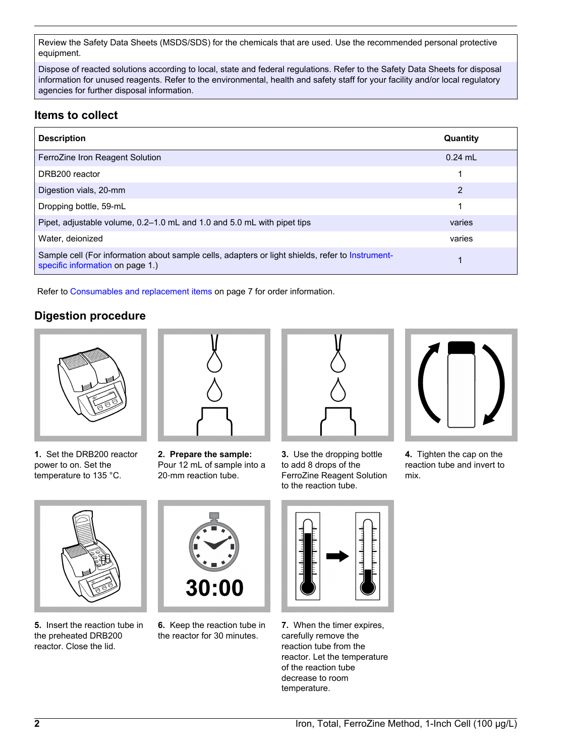Review the Safety Data Sheets (MSDS/SDS) for the chemicals that are used. Use the recommended personal protective equipment.

Dispose of reacted solutions according to local, state and federal regulations. Refer to the Safety Data Sheets for disposal information for unused reagents. Refer to the environmental, health and safety staff for your facility and/or local regulatory agencies for further disposal information.

# **Items to collect**

| <b>Description</b>                                                                                                                   | Quantity  |
|--------------------------------------------------------------------------------------------------------------------------------------|-----------|
| FerroZine Iron Reagent Solution                                                                                                      | $0.24$ ml |
| DRB200 reactor                                                                                                                       | 1         |
| Digestion vials, 20-mm                                                                                                               | 2         |
| Dropping bottle, 59-mL                                                                                                               | 1         |
| Pipet, adjustable volume, 0.2–1.0 mL and 1.0 and 5.0 mL with pipet tips                                                              | varies    |
| Water, deionized                                                                                                                     | varies    |
| Sample cell (For information about sample cells, adapters or light shields, refer to Instrument-<br>specific information on page 1.) |           |

Refer to [Consumables and replacement items](#page-6-0) on page 7 for order information.

# **Digestion procedure**



**1.** Set the DRB200 reactor power to on. Set the temperature to 135 °C.



**2. Prepare the sample:** Pour 12 mL of sample into a 20‑mm reaction tube.



**3.** Use the dropping bottle to add 8 drops of the FerroZine Reagent Solution to the reaction tube.



**4.** Tighten the cap on the reaction tube and invert to mix.



**5.** Insert the reaction tube in the preheated DRB200 reactor. Close the lid.



**6.** Keep the reaction tube in the reactor for 30 minutes.



**7.** When the timer expires, carefully remove the reaction tube from the reactor. Let the temperature of the reaction tube decrease to room temperature.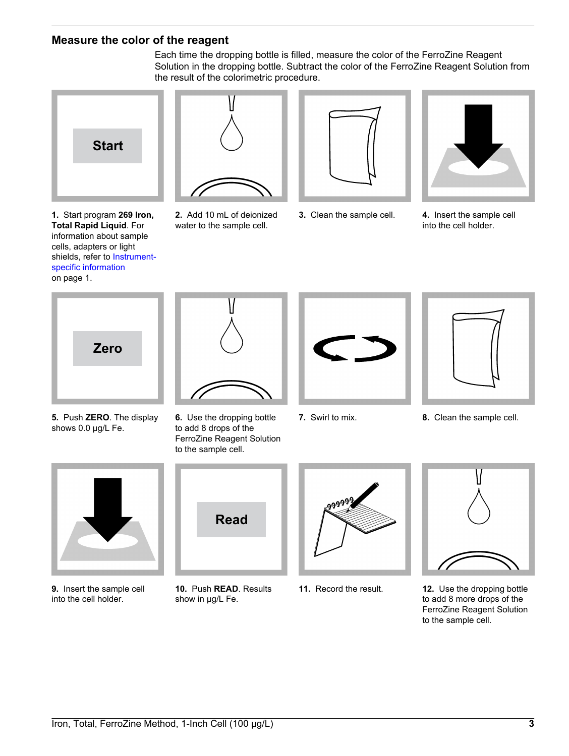## <span id="page-2-0"></span>**Measure the color of the reagent**

Each time the dropping bottle is filled, measure the color of the FerroZine Reagent Solution in the dropping bottle. Subtract the color of the FerroZine Reagent Solution from the result of the colorimetric procedure.



**1.** Start program **269 Iron, Total Rapid Liquid**. For information about sample cells, adapters or light shields, refer to [Instrument](#page-0-0)[specific information](#page-0-0) on page 1.



**2.** Add 10 mL of deionized water to the sample cell.





**3.** Clean the sample cell. **4.** Insert the sample cell into the cell holder.



**5.** Push **ZERO**. The display shows 0.0 µg/L Fe.



**6.** Use the dropping bottle to add 8 drops of the FerroZine Reagent Solution to the sample cell.





**7.** Swirl to mix. **8.** Clean the sample cell.



**9.** Insert the sample cell into the cell holder.



**10.** Push **READ**. Results show in µg/L Fe.





**11.** Record the result. **12.** Use the dropping bottle to add 8 more drops of the FerroZine Reagent Solution to the sample cell.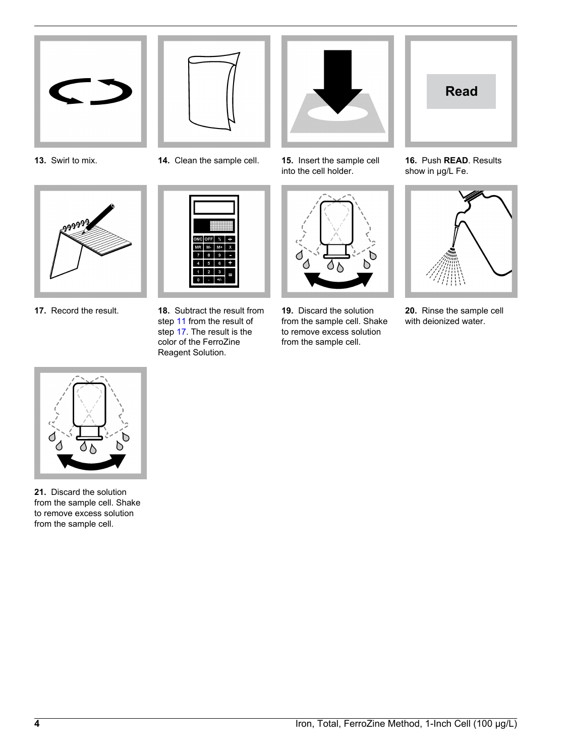







**17.** Record the result. **18.** Subtract the result from



step [11](#page-2-0) from the result of step 17. The result is the color of the FerroZine Reagent Solution.

**13.** Swirl to mix. **14.** Clean the sample cell. **15.** Insert the sample cell into the cell holder.



**19.** Discard the solution from the sample cell. Shake to remove excess solution from the sample cell.



**16.** Push **READ**. Results show in µg/L Fe.



**20.** Rinse the sample cell with deionized water.



**21.** Discard the solution from the sample cell. Shake to remove excess solution from the sample cell.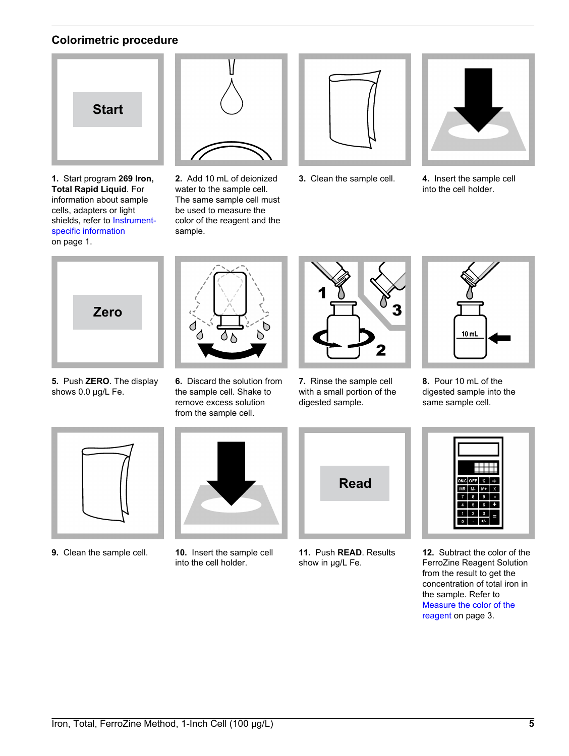# **Colorimetric procedure**



**1.** Start program **269 Iron, Total Rapid Liquid**. For information about sample cells, adapters or light shields, refer to [Instrument](#page-0-0)[specific information](#page-0-0) on page 1.



**2.** Add 10 mL of deionized water to the sample cell. The same sample cell must be used to measure the color of the reagent and the sample.



**3.** Clean the sample cell. **4.** Insert the sample cell



into the cell holder.



**5.** Push **ZERO**. The display shows 0.0 µg/L Fe.



**6.** Discard the solution from the sample cell. Shake to remove excess solution from the sample cell.



**7.** Rinse the sample cell with a small portion of the digested sample.



**8.** Pour 10 mL of the digested sample into the same sample cell.





**9.** Clean the sample cell. **10.** Insert the sample cell into the cell holder.



**11.** Push **READ**. Results show in µg/L Fe.



**12.** Subtract the color of the FerroZine Reagent Solution from the result to get the concentration of total iron in the sample. Refer to [Measure the color of the](#page-2-0) [reagent](#page-2-0) on page 3.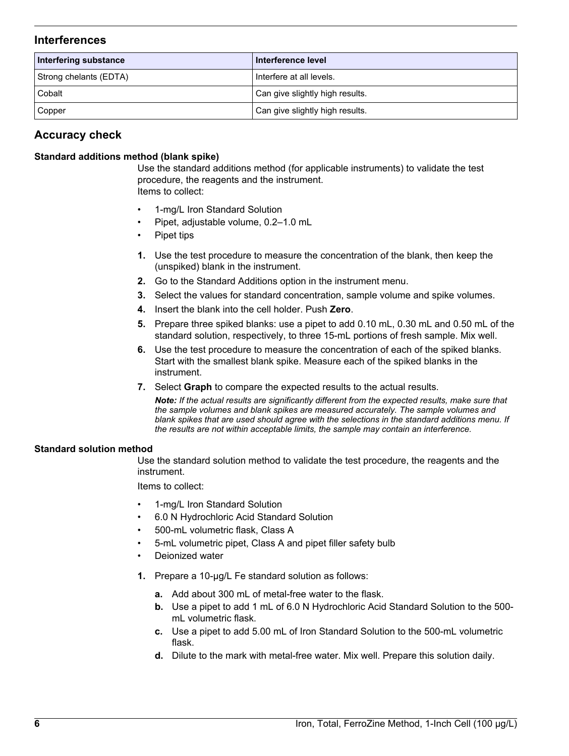## **Interferences**

| Interfering substance  | Interference level              |
|------------------------|---------------------------------|
| Strong chelants (EDTA) | Interfere at all levels.        |
| Cobalt                 | Can give slightly high results. |
| Copper                 | Can give slightly high results. |

# **Accuracy check**

#### **Standard additions method (blank spike)**

Use the standard additions method (for applicable instruments) to validate the test procedure, the reagents and the instrument. Items to collect:

- 1-mg/L Iron Standard Solution
- Pipet, adjustable volume, 0.2–1.0 mL
- Pipet tips
- **1.** Use the test procedure to measure the concentration of the blank, then keep the (unspiked) blank in the instrument.
- **2.** Go to the Standard Additions option in the instrument menu.
- **3.** Select the values for standard concentration, sample volume and spike volumes.
- **4.** Insert the blank into the cell holder. Push **Zero**.
- **5.** Prepare three spiked blanks: use a pipet to add 0.10 mL, 0.30 mL and 0.50 mL of the standard solution, respectively, to three 15-mL portions of fresh sample. Mix well.
- **6.** Use the test procedure to measure the concentration of each of the spiked blanks. Start with the smallest blank spike. Measure each of the spiked blanks in the instrument.
- **7.** Select **Graph** to compare the expected results to the actual results.

*Note: If the actual results are significantly different from the expected results, make sure that the sample volumes and blank spikes are measured accurately. The sample volumes and blank spikes that are used should agree with the selections in the standard additions menu. If the results are not within acceptable limits, the sample may contain an interference.*

#### **Standard solution method**

Use the standard solution method to validate the test procedure, the reagents and the instrument.

Items to collect:

- 1-mg/L Iron Standard Solution
- 6.0 N Hydrochloric Acid Standard Solution
- 500-mL volumetric flask, Class A
- 5-mL volumetric pipet, Class A and pipet filler safety bulb
- Deionized water
- **1.** Prepare a 10-µg/L Fe standard solution as follows:
	- **a.** Add about 300 mL of metal-free water to the flask.
	- **b.** Use a pipet to add 1 mL of 6.0 N Hydrochloric Acid Standard Solution to the 500 mL volumetric flask.
	- **c.** Use a pipet to add 5.00 mL of Iron Standard Solution to the 500-mL volumetric flask.
	- **d.** Dilute to the mark with metal-free water. Mix well. Prepare this solution daily.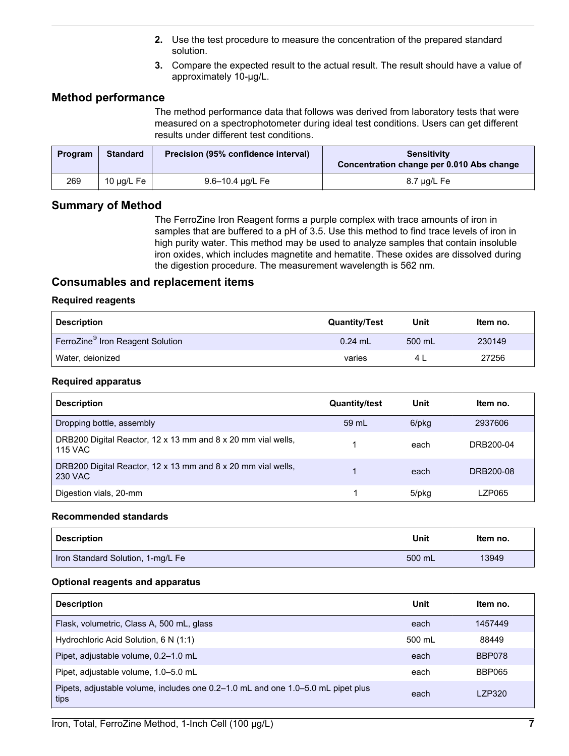- **2.** Use the test procedure to measure the concentration of the prepared standard solution.
- **3.** Compare the expected result to the actual result. The result should have a value of approximately 10-µg/L.

## <span id="page-6-0"></span>**Method performance**

The method performance data that follows was derived from laboratory tests that were measured on a spectrophotometer during ideal test conditions. Users can get different results under different test conditions.

| Program | <b>Standard</b> | Precision (95% confidence interval) | <b>Sensitivity</b><br>Concentration change per 0.010 Abs change |
|---------|-----------------|-------------------------------------|-----------------------------------------------------------------|
| 269     | 10 μg/L Fe      | 9.6–10.4 µg/L Fe                    | 8.7 µg/L Fe                                                     |

## **Summary of Method**

The FerroZine Iron Reagent forms a purple complex with trace amounts of iron in samples that are buffered to a pH of 3.5. Use this method to find trace levels of iron in high purity water. This method may be used to analyze samples that contain insoluble iron oxides, which includes magnetite and hematite. These oxides are dissolved during the digestion procedure. The measurement wavelength is 562 nm.

## **Consumables and replacement items**

#### **Required reagents**

| <b>Description</b>                           | <b>Quantity/Test</b> | Unit   | Item no. |
|----------------------------------------------|----------------------|--------|----------|
| FerroZine <sup>®</sup> Iron Reagent Solution | $0.24$ mL            | 500 mL | 230149   |
| Water, deionized                             | varies               |        | 27256    |

#### **Required apparatus**

| <b>Description</b>                                                             | <b>Quantity/test</b> | Unit  | Item no.  |
|--------------------------------------------------------------------------------|----------------------|-------|-----------|
| Dropping bottle, assembly                                                      | 59 mL                | 6/pkg | 2937606   |
| DRB200 Digital Reactor, 12 x 13 mm and 8 x 20 mm vial wells,<br><b>115 VAC</b> |                      | each  | DRB200-04 |
| DRB200 Digital Reactor, 12 x 13 mm and 8 x 20 mm vial wells,<br><b>230 VAC</b> |                      | each  | DRB200-08 |
| Digestion vials, 20-mm                                                         |                      | 5/pkg | LZP065    |

#### **Recommended standards**

| <b>Description</b>                | Unit   | Item no. |
|-----------------------------------|--------|----------|
| Iron Standard Solution, 1-mg/L Fe | 500 mL | 13949    |

#### **Optional reagents and apparatus**

| <b>Description</b>                                                                       | Unit   | Item no.      |
|------------------------------------------------------------------------------------------|--------|---------------|
| Flask, volumetric, Class A, 500 mL, glass                                                | each   | 1457449       |
| Hydrochloric Acid Solution, 6 N (1:1)                                                    | 500 mL | 88449         |
| Pipet, adjustable volume, 0.2-1.0 mL                                                     | each   | BBP078        |
| Pipet, adjustable volume, 1.0–5.0 mL                                                     | each   | <b>BBP065</b> |
| Pipets, adjustable volume, includes one 0.2–1.0 mL and one 1.0–5.0 mL pipet plus<br>tips | each   | I 7P320       |